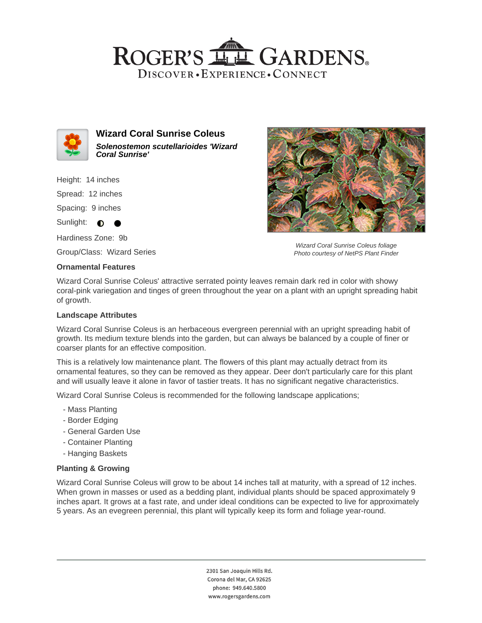



**Wizard Coral Sunrise Coleus Solenostemon scutellarioides 'Wizard Coral Sunrise'**

Height: 14 inches

Spread: 12 inches

Spacing: 9 inches

Sunlight:  $\bullet$ 

Hardiness Zone: 9b

Group/Class: Wizard Series

## **Ornamental Features**

Wizard Coral Sunrise Coleus foliage Photo courtesy of NetPS Plant Finder

Wizard Coral Sunrise Coleus' attractive serrated pointy leaves remain dark red in color with showy coral-pink variegation and tinges of green throughout the year on a plant with an upright spreading habit of growth.

## **Landscape Attributes**

Wizard Coral Sunrise Coleus is an herbaceous evergreen perennial with an upright spreading habit of growth. Its medium texture blends into the garden, but can always be balanced by a couple of finer or coarser plants for an effective composition.

This is a relatively low maintenance plant. The flowers of this plant may actually detract from its ornamental features, so they can be removed as they appear. Deer don't particularly care for this plant and will usually leave it alone in favor of tastier treats. It has no significant negative characteristics.

Wizard Coral Sunrise Coleus is recommended for the following landscape applications;

- Mass Planting
- Border Edging
- General Garden Use
- Container Planting
- Hanging Baskets

## **Planting & Growing**

Wizard Coral Sunrise Coleus will grow to be about 14 inches tall at maturity, with a spread of 12 inches. When grown in masses or used as a bedding plant, individual plants should be spaced approximately 9 inches apart. It grows at a fast rate, and under ideal conditions can be expected to live for approximately 5 years. As an evegreen perennial, this plant will typically keep its form and foliage year-round.

> 2301 San Joaquin Hills Rd. Corona del Mar, CA 92625 phone: 949.640.5800 www.rogersgardens.com